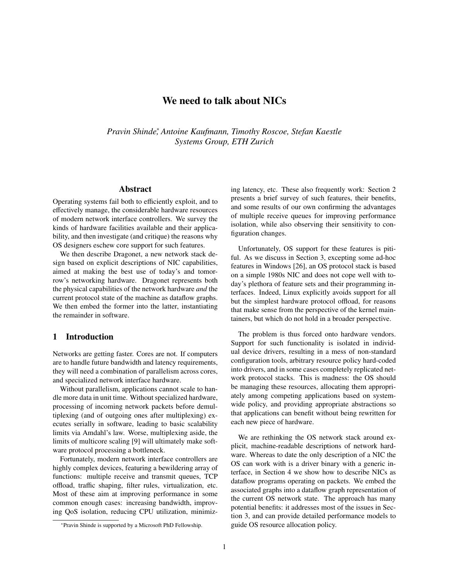# We need to talk about NICs

*Pravin Shinde*<sup>∗</sup> *, Antoine Kaufmann, Timothy Roscoe, Stefan Kaestle Systems Group, ETH Zurich*

#### Abstract

Operating systems fail both to efficiently exploit, and to effectively manage, the considerable hardware resources of modern network interface controllers. We survey the kinds of hardware facilities available and their applicability, and then investigate (and critique) the reasons why OS designers eschew core support for such features.

We then describe Dragonet, a new network stack design based on explicit descriptions of NIC capabilities, aimed at making the best use of today's and tomorrow's networking hardware. Dragonet represents both the physical capabilities of the network hardware *and* the current protocol state of the machine as dataflow graphs. We then embed the former into the latter, instantiating the remainder in software.

### 1 Introduction

Networks are getting faster. Cores are not. If computers are to handle future bandwidth and latency requirements, they will need a combination of parallelism across cores, and specialized network interface hardware.

Without parallelism, applications cannot scale to handle more data in unit time. Without specialized hardware, processing of incoming network packets before demultiplexing (and of outgoing ones after multiplexing) executes serially in software, leading to basic scalability limits via Amdahl's law. Worse, multiplexing aside, the limits of multicore scaling [9] will ultimately make software protocol processing a bottleneck.

Fortunately, modern network interface controllers are highly complex devices, featuring a bewildering array of functions: multiple receive and transmit queues, TCP offload, traffic shaping, filter rules, virtualization, etc. Most of these aim at improving performance in some common enough cases: increasing bandwidth, improving QoS isolation, reducing CPU utilization, minimizing latency, etc. These also frequently work: Section 2 presents a brief survey of such features, their benefits, and some results of our own confirming the advantages of multiple receive queues for improving performance isolation, while also observing their sensitivity to configuration changes.

Unfortunately, OS support for these features is pitiful. As we discuss in Section 3, excepting some ad-hoc features in Windows [26], an OS protocol stack is based on a simple 1980s NIC and does not cope well with today's plethora of feature sets and their programming interfaces. Indeed, Linux explicitly avoids support for all but the simplest hardware protocol offload, for reasons that make sense from the perspective of the kernel maintainers, but which do not hold in a broader perspective.

The problem is thus forced onto hardware vendors. Support for such functionality is isolated in individual device drivers, resulting in a mess of non-standard configuration tools, arbitrary resource policy hard-coded into drivers, and in some cases completely replicated network protocol stacks. This is madness: the OS should be managing these resources, allocating them appropriately among competing applications based on systemwide policy, and providing appropriate abstractions so that applications can benefit without being rewritten for each new piece of hardware.

We are rethinking the OS network stack around explicit, machine-readable descriptions of network hardware. Whereas to date the only description of a NIC the OS can work with is a driver binary with a generic interface, in Section 4 we show how to describe NICs as dataflow programs operating on packets. We embed the associated graphs into a dataflow graph representation of the current OS network state. The approach has many potential benefits: it addresses most of the issues in Section 3, and can provide detailed performance models to guide OS resource allocation policy.

<sup>∗</sup>Pravin Shinde is supported by a Microsoft PhD Fellowship.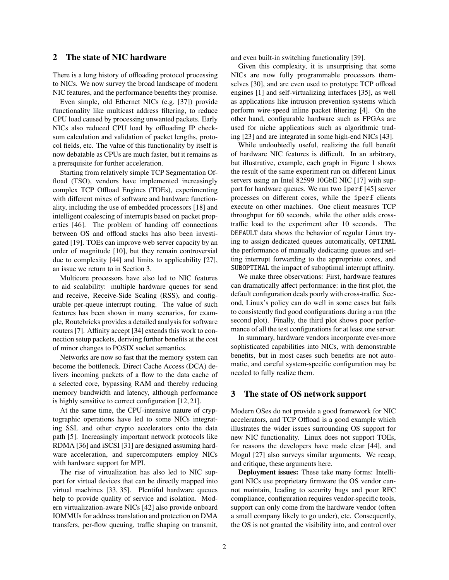## 2 The state of NIC hardware

There is a long history of offloading protocol processing to NICs. We now survey the broad landscape of modern NIC features, and the performance benefits they promise.

Even simple, old Ethernet NICs (e.g. [37]) provide functionality like multicast address filtering, to reduce CPU load caused by processing unwanted packets. Early NICs also reduced CPU load by offloading IP checksum calculation and validation of packet lengths, protocol fields, etc. The value of this functionality by itself is now debatable as CPUs are much faster, but it remains as a prerequisite for further acceleration.

Starting from relatively simple TCP Segmentation Offload (TSO), vendors have implemented increasingly complex TCP Offload Engines (TOEs), experimenting with different mixes of software and hardware functionality, including the use of embedded processors [18] and intelligent coalescing of interrupts based on packet properties [46]. The problem of handing off connections between OS and offload stacks has also been investigated [19]. TOEs can improve web server capacity by an order of magnitude [10], but they remain controversial due to complexity [44] and limits to applicability [27], an issue we return to in Section 3.

Multicore processors have also led to NIC features to aid scalability: multiple hardware queues for send and receive, Receive-Side Scaling (RSS), and configurable per-queue interrupt routing. The value of such features has been shown in many scenarios, for example, Routebricks provides a detailed analysis for software routers [7]. Affinity accept [34] extends this work to connection setup packets, deriving further benefits at the cost of minor changes to POSIX socket semantics.

Networks are now so fast that the memory system can become the bottleneck. Direct Cache Access (DCA) delivers incoming packets of a flow to the data cache of a selected core, bypassing RAM and thereby reducing memory bandwidth and latency, although performance is highly sensitive to correct configuration [12, 21].

At the same time, the CPU-intensive nature of cryptographic operations have led to some NICs integrating SSL and other crypto accelerators onto the data path [5]. Increasingly important network protocols like RDMA [36] and iSCSI [31] are designed assuming hardware acceleration, and supercomputers employ NICs with hardware support for MPI.

The rise of virtualization has also led to NIC support for virtual devices that can be directly mapped into virtual machines [33, 35]. Plentiful hardware queues help to provide quality of service and isolation. Modern virtualization-aware NICs [42] also provide onboard IOMMUs for address translation and protection on DMA transfers, per-flow queuing, traffic shaping on transmit, and even built-in switching functionality [39].

Given this complexity, it is unsurprising that some NICs are now fully programmable processors themselves [30], and are even used to prototype TCP offload engines [1] and self-virtualizing interfaces [35], as well as applications like intrusion prevention systems which perform wire-speed inline packet filtering [4]. On the other hand, configurable hardware such as FPGAs are used for niche applications such as algorithmic trading [23] and are integrated in some high-end NICs [43].

While undoubtedly useful, realizing the full benefit of hardware NIC features is difficult. In an arbitrary, but illustrative, example, each graph in Figure 1 shows the result of the same experiment run on different Linux servers using an Intel 82599 10GbE NIC [17] with support for hardware queues. We run two iperf [45] server processes on different cores, while the iperf clients execute on other machines. One client measures TCP throughput for 60 seconds, while the other adds crosstraffic load to the experiment after 10 seconds. The DEFAULT data shows the behavior of regular Linux trying to assign dedicated queues automatically, OPTIMAL the performance of manually dedicating queues and setting interrupt forwarding to the appropriate cores, and SUBOPTIMAL the impact of suboptimal interrupt affinity.

We make three observations: First, hardware features can dramatically affect performance: in the first plot, the default configuration deals poorly with cross-traffic. Second, Linux's policy can do well in some cases but fails to consistently find good configurations during a run (the second plot). Finally, the third plot shows poor performance of all the test configurations for at least one server.

In summary, hardware vendors incorporate ever-more sophisticated capabilities into NICs, with demonstrable benefits, but in most cases such benefits are not automatic, and careful system-specific configuration may be needed to fully realize them.

## 3 The state of OS network support

Modern OSes do not provide a good framework for NIC accelerators, and TCP Offload is a good example which illustrates the wider issues surrounding OS support for new NIC functionality. Linux does not support TOEs, for reasons the developers have made clear [44], and Mogul [27] also surveys similar arguments. We recap, and critique, these arguments here.

Deployment issues: These take many forms: Intelligent NICs use proprietary firmware the OS vendor cannot maintain, leading to security bugs and poor RFC compliance, configuration requires vendor-specific tools, support can only come from the hardware vendor (often a small company likely to go under), etc. Consequently, the OS is not granted the visibility into, and control over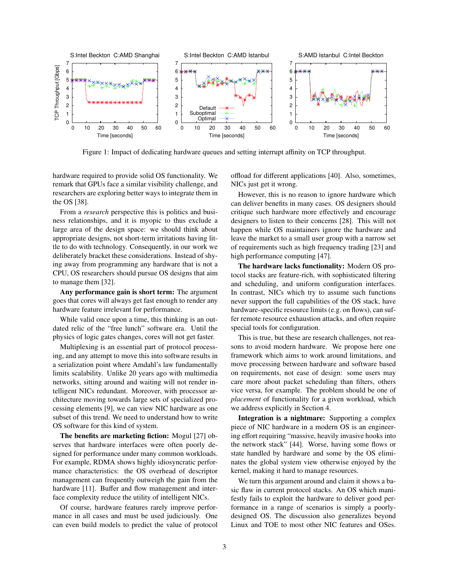

Figure 1: Impact of dedicating hardware queues and setting interrupt affinity on TCP throughput.

hardware required to provide solid OS functionality. We remark that GPUs face a similar visibility challenge, and researchers are exploring better ways to integrate them in the OS [38].

From a *research* perspective this is politics and business relationships, and it is myopic to thus exclude a large area of the design space: we should think about appropriate designs, not short-term irritations having little to do with technology. Consequently, in our work we deliberately bracket these considerations. Instead of shying away from programming any hardware that is not a CPU, OS researchers should pursue OS designs that aim to manage them [32].

Any performance gain is short term: The argument goes that cores will always get fast enough to render any hardware feature irrelevant for performance.

While valid once upon a time, this thinking is an outdated relic of the "free lunch" software era. Until the physics of logic gates changes, cores will not get faster.

Multiplexing is an essential part of protocol processing, and any attempt to move this into software results in a serialization point where Amdahl's law fundamentally limits scalability. Unlike 20 years ago with multimedia networks, sitting around and waiting will not render intelligent NICs redundant. Moreover, with processor architecture moving towards large sets of specialized processing elements [9], we can view NIC hardware as one subset of this trend. We need to understand how to write OS software for this kind of system.

The benefits are marketing fiction: Mogul [27] observes that hardware interfaces were often poorly designed for performance under many common workloads. For example, RDMA shows highly idiosyncratic performance characteristics: the OS overhead of descriptor management can frequently outweigh the gain from the hardware [11]. Buffer and flow management and interface complexity reduce the utility of intelligent NICs.

Of course, hardware features rarely improve performance in all cases and must be used judiciously. One can even build models to predict the value of protocol offload for different applications [40]. Also, sometimes, NICs just get it wrong.

However, this is no reason to ignore hardware which can deliver benefits in many cases. OS designers should critique such hardware more effectively and encourage designers to listen to their concerns [28]. This will not happen while OS maintainers ignore the hardware and leave the market to a small user group with a narrow set of requirements such as high frequency trading [23] and high performance computing [47].

The hardware lacks functionality: Modern OS protocol stacks are feature-rich, with sophisticated filtering and scheduling, and uniform configuration interfaces. In contrast, NICs which try to assume such functions never support the full capabilities of the OS stack, have hardware-specific resource limits (e.g. on flows), can suffer remote resource exhaustion attacks, and often require special tools for configuration.

This is true, but these are research challenges, not reasons to avoid modern hardware. We propose here one framework which aims to work around limitations, and move processing between hardware and software based on requirements, not ease of design: some users may care more about packet scheduling than filters, others vice versa, for example. The problem should be one of *placement* of functionality for a given workload, which we address explicitly in Section 4.

Integration is a nightmare: Supporting a complex piece of NIC hardware in a modern OS is an engineering effort requiring "massive, heavily invasive hooks into the network stack" [44]. Worse, having some flows or state handled by hardware and some by the OS eliminates the global system view otherwise enjoyed by the kernel, making it hard to manage resources.

We turn this argument around and claim it shows a basic flaw in current protocol stacks. An OS which manifestly fails to exploit the hardware to deliver good performance in a range of scenarios is simply a poorlydesigned OS. The discussion also generalizes beyond Linux and TOE to most other NIC features and OSes.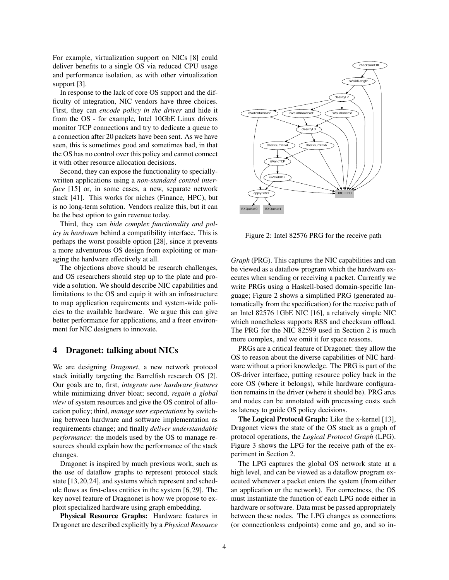For example, virtualization support on NICs [8] could deliver benefits to a single OS via reduced CPU usage and performance isolation, as with other virtualization support [3].

In response to the lack of core OS support and the difficulty of integration, NIC vendors have three choices. First, they can *encode policy in the driver* and hide it from the OS - for example, Intel 10GbE Linux drivers monitor TCP connections and try to dedicate a queue to a connection after 20 packets have been sent. As we have seen, this is sometimes good and sometimes bad, in that the OS has no control over this policy and cannot connect it with other resource allocation decisions.

Second, they can expose the functionality to speciallywritten applications using a *non-standard control interface* [15] or, in some cases, a new, separate network stack [41]. This works for niches (Finance, HPC), but is no long-term solution. Vendors realize this, but it can be the best option to gain revenue today.

Third, they can *hide complex functionality and policy in hardware* behind a compatibility interface. This is perhaps the worst possible option [28], since it prevents a more adventurous OS design from exploiting or managing the hardware effectively at all.

The objections above should be research challenges, and OS researchers should step up to the plate and provide a solution. We should describe NIC capabilities and limitations to the OS and equip it with an infrastructure to map application requirements and system-wide policies to the available hardware. We argue this can give better performance for applications, and a freer environment for NIC designers to innovate.

## 4 Dragonet: talking about NICs

We are designing *Dragonet*, a new network protocol stack initially targeting the Barrelfish research OS [2]. Our goals are to, first, *integrate new hardware features* while minimizing driver bloat; second, *regain a global view* of system resources and give the OS control of allocation policy; third, *manage user expectations* by switching between hardware and software implementation as requirements change; and finally *deliver understandable performance*: the models used by the OS to manage resources should explain how the performance of the stack changes.

Dragonet is inspired by much previous work, such as the use of dataflow graphs to represent protocol stack state [13,20,24], and systems which represent and schedule flows as first-class entities in the system [6, 29]. The key novel feature of Dragnonet is how we propose to exploit specialized hardware using graph embedding.

Physical Resource Graphs: Hardware features in Dragonet are described explicitly by a *Physical Resource*



Figure 2: Intel 82576 PRG for the receive path

*Graph* (PRG). This captures the NIC capabilities and can be viewed as a dataflow program which the hardware executes when sending or receiving a packet. Currently we write PRGs using a Haskell-based domain-specific language; Figure 2 shows a simplified PRG (generated automatically from the specification) for the receive path of an Intel 82576 1GbE NIC [16], a relatively simple NIC which nonetheless supports RSS and checksum offload. The PRG for the NIC 82599 used in Section 2 is much more complex, and we omit it for space reasons.

PRGs are a critical feature of Dragonet: they allow the OS to reason about the diverse capabilities of NIC hardware without a priori knowledge. The PRG is part of the OS-driver interface, putting resource policy back in the core OS (where it belongs), while hardware configuration remains in the driver (where it should be). PRG arcs and nodes can be annotated with processing costs such as latency to guide OS policy decisions.

The Logical Protocol Graph: Like the x-kernel [13], Dragonet views the state of the OS stack as a graph of protocol operations, the *Logical Protocol Graph* (LPG). Figure 3 shows the LPG for the receive path of the experiment in Section 2.

The LPG captures the global OS network state at a high level, and can be viewed as a dataflow program executed whenever a packet enters the system (from either an application or the network). For correctness, the OS must instantiate the function of each LPG node either in hardware or software. Data must be passed appropriately between these nodes. The LPG changes as connections (or connectionless endpoints) come and go, and so in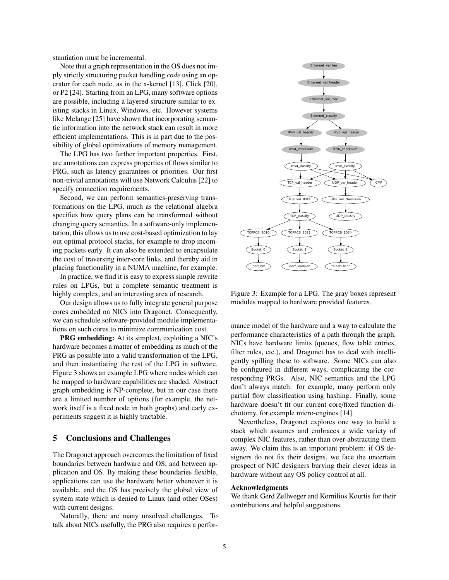stantiation must be incremental.

Note that a graph representation in the OS does not imply strictly structuring packet handling *code* using an operator for each node, as in the x-kernel [13], Click [20], or P2 [24]. Starting from an LPG, many software options are possible, including a layered structure similar to existing stacks in Linux, Windows, etc. However systems like Melange [25] have shown that incorporating semantic information into the network stack can result in more efficient implementations. This is in part due to the possibility of global optimizations of memory management.

The LPG has two further important properties. First, arc annotations can express properties of flows similar to PRG, such as latency guarantees or priorities. Our first non-trivial annotations will use Network Calculus [22] to specify connection requirements.

Second, we can perform semantics-preserving transformations on the LPG, much as the relational algebra specifies how query plans can be transformed without changing query semantics. In a software-only implementation, this allows us to use cost-based optimization to lay out optimal protocol stacks, for example to drop incoming packets early. It can also be extended to encapsulate the cost of traversing inter-core links, and thereby aid in placing functionality in a NUMA machine, for example.

In practice, we find it is easy to express simple rewrite rules on LPGs, but a complete semantic treatment is highly complex, and an interesting area of research.

Our design allows us to fully integrate general purpose cores embedded on NICs into Dragonet. Consequently, we can schedule software-provided module implementations on such cores to minimize communication cost.

PRG embedding: At its simplest, exploiting a NIC's hardware becomes a matter of embedding as much of the PRG as possible into a valid transformation of the LPG, and then instantiating the rest of the LPG in software. Figure 3 shows an example LPG where nodes which can be mapped to hardware capabilities are shaded. Abstract graph embedding is NP-complete, but in our case there are a limited number of options (for example, the network itself is a fixed node in both graphs) and early experiments suggest it is highly tractable.

#### 5 Conclusions and Challenges

The Dragonet approach overcomes the limitation of fixed boundaries between hardware and OS, and between application and OS. By making these boundaries flexible, applications can use the hardware better whenever it is available, and the OS has precisely the global view of system state which is denied to Linux (and other OSes) with current designs.

Naturally, there are many unsolved challenges. To talk about NICs usefully, the PRG also requires a perfor-



Figure 3: Example for a LPG. The gray boxes represent modules mapped to hardware provided features.

mance model of the hardware and a way to calculate the performance characteristics of a path through the graph. NICs have hardware limits (queues, flow table entries, filter rules, etc.), and Dragonet has to deal with intelligently spilling these to software. Some NICs can also be configured in different ways, complicating the corresponding PRGs. Also, NIC semantics and the LPG don't always match: for example, many perform only partial flow classification using hashing. Finally, some hardware doesn't fit our current core/fixed function dichotomy, for example micro-engines [14].

Nevertheless, Dragonet explores one way to build a stack which assumes and embraces a wide variety of complex NIC features, rather than over-abstracting them away. We claim this is an important problem: if OS designers do not fix their designs, we face the uncertain prospect of NIC designers burying their clever ideas in hardware without any OS policy control at all.

#### Acknowledgments

We thank Gerd Zellweger and Kornilios Kourtis for their contributions and helpful suggestions.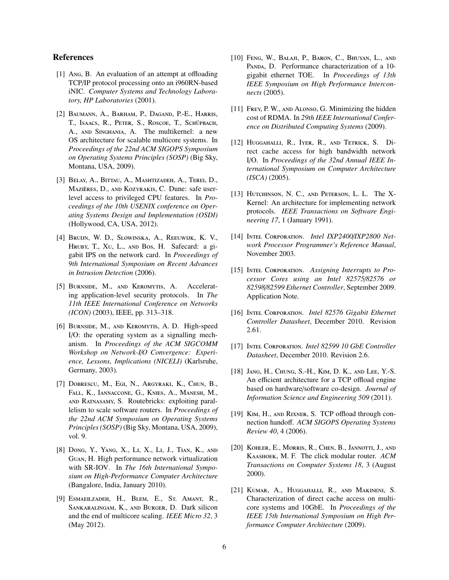# References

- [1] Ang, B. An evaluation of an attempt at offloading TCP/IP protocol processing onto an i960RN-based iNIC. *Computer Systems and Technology Laboratory, HP Laboratories* (2001).
- [2] Baumann, A., Barham, P., Dagand, P.-E., Harris, T., Isaacs, R., Peter, S., Roscoe, T., Schüpbach, A., and Singhania, A. The multikernel: a new OS architecture for scalable multicore systems. In *Proceedings of the 22nd ACM SIGOPS Symposium on Operating Systems Principles (SOSP)* (Big Sky, Montana, USA, 2009).
- [3] Belay, A., Bittau, A., Mashtizadeh, A., Terei, D., MAZIÈRES, D., AND KOZYRAKIS, C. Dune: safe userlevel access to privileged CPU features. In *Proceedings of the 10th USENIX conference on Operating Systems Design and Implementation (OSDI)* (Hollywood, CA, USA, 2012).
- [4] Bruijn, W. D., Slowinska, A., Reeuwijk, K. V., Hruby, T., Xu, L., and Bos, H. Safecard: a gigabit IPS on the network card. In *Proceedings of 9th International Symposium on Recent Advances in Intrusion Detection* (2006).
- [5] BURNSIDE, M., AND KEROMYTIS, A. Accelerating application-level security protocols. In *The 11th IEEE International Conference on Networks (ICON)* (2003), IEEE, pp. 313–318.
- [6] BURNSIDE, M., AND KEROMYTIS, A. D. High-speed I/O: the operating system as a signalling mechanism. In *Proceedings of the ACM SIGCOMM Workshop on Network-I*/*O Convergence: Experience, Lessons, Implications (NICELI)* (Karlsruhe, Germany, 2003).
- [7] Dobrescu, M., Egi, N., Argyraki, K., Chun, B., Fall, K., Iannaccone, G., Knies, A., Manesh, M., and Ratnasamy, S. Routebricks: exploiting parallelism to scale software routers. In *Proceedings of the 22nd ACM Symposium on Operating Systems Principles (SOSP)* (Big Sky, Montana, USA, 2009), vol. 9.
- [8] Dong, Y., Yang, X., Li, X., Li, J., Tian, K., and Guan, H. High performance network virtualization with SR-IOV. In *The 16th International Symposium on High-Performance Computer Architecture* (Bangalore, India, January 2010).
- [9] Esmaeilzadeh, H., Blem, E., St. Amant, R., Sankaralingam, K., and Burger, D. Dark silicon and the end of multicore scaling. *IEEE Micro 32*, 3 (May 2012).
- [10] Feng, W., Balaji, P., Baron, C., Bhuyan, L., and PANDA, D. Performance characterization of a 10gigabit ethernet TOE. In *Proceedings of 13th IEEE Symposium on High Performance Interconnects* (2005).
- [11] FREY, P. W., AND ALONSO, G. Minimizing the hidden cost of RDMA. In *29th IEEE International Conference on Distributed Computing Systems* (2009).
- [12] Huggahalli, R., Iyer, R., and Tetrick, S. Direct cache access for high bandwidth network I/O. In *Proceedings of the 32nd Annual IEEE International Symposium on Computer Architecture (ISCA)* (2005).
- [13] Hutchinson, N. C., and Peterson, L. L. The X-Kernel: An architecture for implementing network protocols. *IEEE Transactions on Software Engineering 17*, 1 (January 1991).
- [14] Intel Corporation. *Intel IXP2400*/*IXP2800 Network Processor Programmer's Reference Manual*, November 2003.
- [15] INTEL CORPORATION. Assigning Interrupts to Pro*cessor Cores using an Intel 82575*/*82576 or 82598*/*82599 Ethernet Controller*, September 2009. Application Note.
- [16] Intel Corporation. *Intel 82576 Gigabit Ethernet Controller Datasheet*, December 2010. Revision 2.61.
- [17] Intel Corporation. *Intel 82599 10 GbE Controller Datasheet*, December 2010. Revision 2.6.
- [18] Jang, H., Chung, S.-H., Kim, D. K., and Lee, Y.-S. An efficient architecture for a TCP offload engine based on hardware/software co-design. *Journal of Information Science and Engineering 509* (2011).
- [19] KIM, H., AND RIXNER, S. TCP offload through connection handoff. *ACM SIGOPS Operating Systems Review 40*, 4 (2006).
- [20] Kohler, E., Morris, R., Chen, B., Jannotti, J., and Kaashoek, M. F. The click modular router. *ACM Transactions on Computer Systems 18*, 3 (August 2000).
- [21] Kumar, A., Huggahalli, R., and Makineni, S. Characterization of direct cache access on multicore systems and 10GbE. In *Proceedings of the IEEE 15th International Symposium on High Performance Computer Architecture* (2009).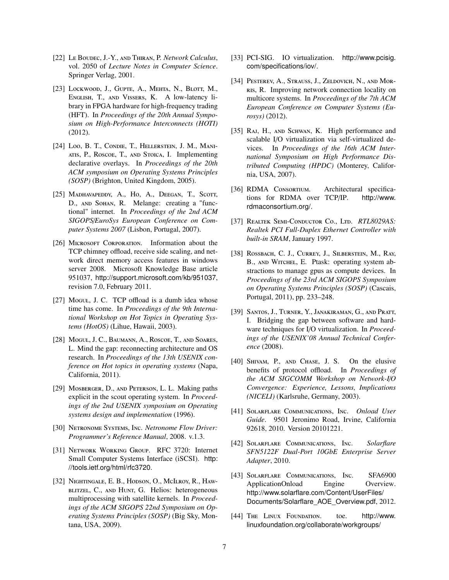- [22] Le Boudec, J.-Y., and Thiran, P. *Network Calculus*, vol. 2050 of *Lecture Notes in Computer Science*. Springer Verlag, 2001.
- [23] Lockwood, J., Gupte, A., Mehta, N., Blott, M., English, T., and Vissers, K. A low-latency library in FPGA hardware for high-frequency trading (HFT). In *Proceedings of the 20th Annual Symposium on High-Performance Interconnects (HOTI)* (2012).
- [24] Loo, B. T., Condie, T., Hellerstein, J. M., Maniatis, P., Roscoe, T., and Stoica, I. Implementing declarative overlays. In *Proceedings of the 20th ACM symposium on Operating Systems Principles (SOSP)* (Brighton, United Kingdom, 2005).
- [25] MADHAVAPEDDY, A., Ho, A., DEEGAN, T., SCOTT, D., and Sohan, R. Melange: creating a "functional" internet. In *Proceedings of the 2nd ACM SIGOPS*/*EuroSys European Conference on Computer Systems 2007* (Lisbon, Portugal, 2007).
- [26] MICROSOFT CORPORATION. Information about the TCP chimney offload, receive side scaling, and network direct memory access features in windows server 2008. Microsoft Knowledge Base article 951037, http://support.microsoft.com/kb/951037, revision 7.0, February 2011.
- [27] Mogul, J. C. TCP offload is a dumb idea whose time has come. In *Proceedings of the 9th International Workshop on Hot Topics in Operating Systems (HotOS)* (Lihue, Hawaii, 2003).
- [28] Mogul, J. C., BAUMANN, A., ROSCOE, T., AND SOARES, L. Mind the gap: reconnecting architecture and OS research. In *Proceedings of the 13th USENIX conference on Hot topics in operating systems* (Napa, California, 2011).
- [29] MOSBERGER, D., AND PETERSON, L. L. Making paths explicit in the scout operating system. In *Proceedings of the 2nd USENIX symposium on Operating systems design and implementation* (1996).
- [30] NETRONOME SYSTEMS, INC. *Netronome Flow Driver: Programmer's Reference Manual*, 2008. v.1.3.
- [31] Network Working Group. RFC 3720: Internet Small Computer Systems Interface (iSCSI). http: //tools.ietf.org/html/rfc3720.
- [32] NIGHTINGALE, E. B., HODSON, O., McILROY, R., HAWblitzel, C., and Hunt, G. Helios: heterogeneous multiprocessing with satellite kernels. In *Proceedings of the ACM SIGOPS 22nd Symposium on Operating Systems Principles (SOSP)* (Big Sky, Montana, USA, 2009).
- [33] PCI-SIG. IO virtualization. http://www.pcisig. com/specifications/iov/.
- [34] PESTEREV, A., STRAUSS, J., ZELDOVICH, N., AND MORris, R. Improving network connection locality on multicore systems. In *Proceedings of the 7th ACM European Conference on Computer Systems (Eurosys)* (2012).
- [35] RAJ, H., AND SCHWAN, K. High performance and scalable I/O virtualization via self-virtualized devices. In *Proceedings of the 16th ACM International Symposium on High Performance Distributed Computing (HPDC)* (Monterey, California, USA, 2007).
- [36] RDMA CONSORTIUM. Architectural specifications for RDMA over TCP/IP. http://www. rdmaconsortium.org/.
- [37] REALTEK SEMI-CONDUCTOR Co., LTD. *RTL8029AS: Realtek PCI Full-Duplex Ethernet Controller with built-in SRAM*, January 1997.
- [38] ROSSBACH, C. J., CURREY, J., SILBERSTEIN, M., RAY, B., and Witchel, E. Ptask: operating system abstractions to manage gpus as compute devices. In *Proceedings of the 23rd ACM SIGOPS Symposium on Operating Systems Principles (SOSP)* (Cascais, Portugal, 2011), pp. 233–248.
- [39] Santos, J., Turner, Y., Janakiraman, G., and Pratt, I. Bridging the gap between software and hardware techniques for I/O virtualization. In *Proceedings of the USENIX'08 Annual Technical Conference* (2008).
- [40] SHIVAM, P., AND CHASE, J. S. On the elusive benefits of protocol offload. In *Proceedings of the ACM SIGCOMM Workshop on Network-I*/*O Convergence: Experience, Lessons, Implications (NICELI)* (Karlsruhe, Germany, 2003).
- [41] Solarflare Communications, Inc. *Onload User Guide*. 9501 Jeronimo Road, Irvine, California 92618, 2010. Version 20101221.
- [42] Solarflare Communications, Inc. *Solarflare SFN5122F Dual-Port 10GbE Enterprise Server Adapter*, 2010.
- [43] SOLARFLARE COMMUNICATIONS, INC. SFA6900 ApplicationOnload Engine Overview. http://www.solarflare.com/Content/UserFiles/ Documents/Solarflare\_AOE\_Overview.pdf, 2012.
- [44] The Linux Foundation. toe. http://www. linuxfoundation.org/collaborate/workgroups/